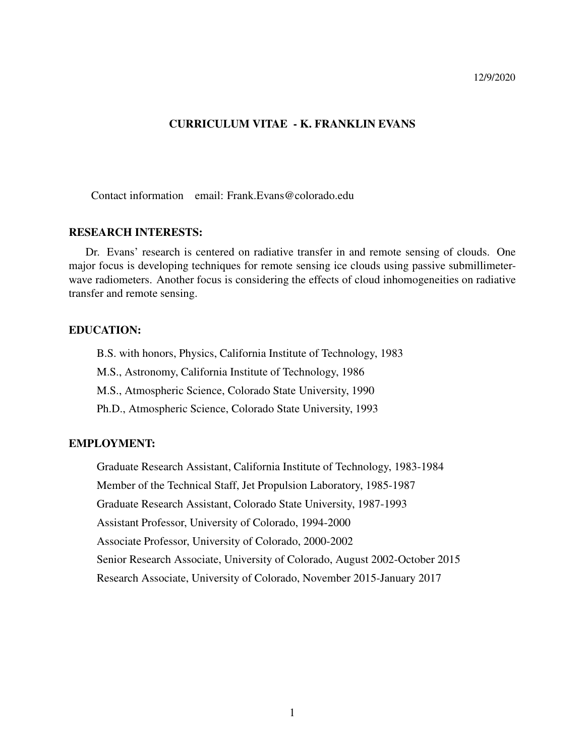# CURRICULUM VITAE - K. FRANKLIN EVANS

Contact information email: Frank.Evans@colorado.edu

# RESEARCH INTERESTS:

Dr. Evans' research is centered on radiative transfer in and remote sensing of clouds. One major focus is developing techniques for remote sensing ice clouds using passive submillimeterwave radiometers. Another focus is considering the effects of cloud inhomogeneities on radiative transfer and remote sensing.

### EDUCATION:

B.S. with honors, Physics, California Institute of Technology, 1983 M.S., Astronomy, California Institute of Technology, 1986 M.S., Atmospheric Science, Colorado State University, 1990 Ph.D., Atmospheric Science, Colorado State University, 1993

# EMPLOYMENT:

Graduate Research Assistant, California Institute of Technology, 1983-1984 Member of the Technical Staff, Jet Propulsion Laboratory, 1985-1987 Graduate Research Assistant, Colorado State University, 1987-1993 Assistant Professor, University of Colorado, 1994-2000 Associate Professor, University of Colorado, 2000-2002 Senior Research Associate, University of Colorado, August 2002-October 2015 Research Associate, University of Colorado, November 2015-January 2017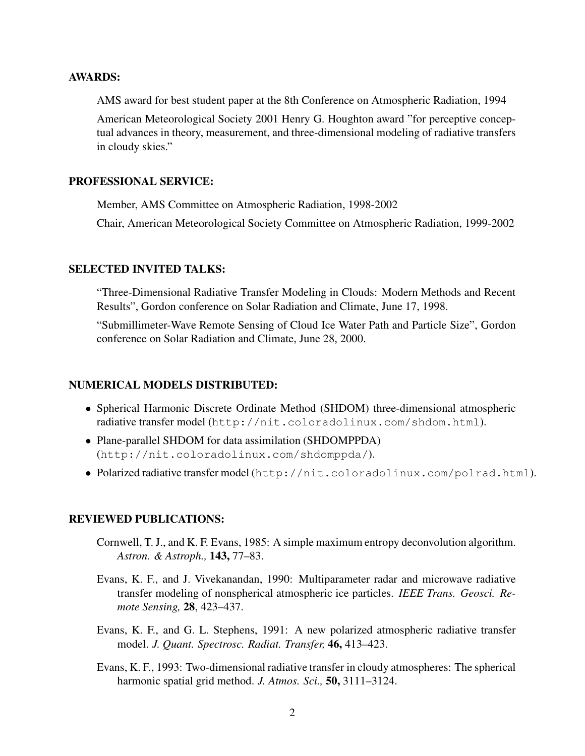### AWARDS:

AMS award for best student paper at the 8th Conference on Atmospheric Radiation, 1994

American Meteorological Society 2001 Henry G. Houghton award "for perceptive conceptual advances in theory, measurement, and three-dimensional modeling of radiative transfers in cloudy skies."

# PROFESSIONAL SERVICE:

Member, AMS Committee on Atmospheric Radiation, 1998-2002

Chair, American Meteorological Society Committee on Atmospheric Radiation, 1999-2002

# SELECTED INVITED TALKS:

"Three-Dimensional Radiative Transfer Modeling in Clouds: Modern Methods and Recent Results", Gordon conference on Solar Radiation and Climate, June 17, 1998.

"Submillimeter-Wave Remote Sensing of Cloud Ice Water Path and Particle Size", Gordon conference on Solar Radiation and Climate, June 28, 2000.

# NUMERICAL MODELS DISTRIBUTED:

- Spherical Harmonic Discrete Ordinate Method (SHDOM) three-dimensional atmospheric radiative transfer model (http://nit.coloradolinux.com/shdom.html).
- Plane-parallel SHDOM for data assimilation (SHDOMPPDA) (http://nit.coloradolinux.com/shdomppda/).
- Polarized radiative transfer model (http://nit.coloradolinux.com/polrad.html).

# REVIEWED PUBLICATIONS:

- Cornwell, T. J., and K. F. Evans, 1985: A simple maximum entropy deconvolution algorithm. *Astron. & Astroph.,* 143, 77–83.
- Evans, K. F., and J. Vivekanandan, 1990: Multiparameter radar and microwave radiative transfer modeling of nonspherical atmospheric ice particles. *IEEE Trans. Geosci. Remote Sensing,* 28, 423–437.
- Evans, K. F., and G. L. Stephens, 1991: A new polarized atmospheric radiative transfer model. *J. Quant. Spectrosc. Radiat. Transfer,* 46, 413–423.
- Evans, K. F., 1993: Two-dimensional radiative transfer in cloudy atmospheres: The spherical harmonic spatial grid method. *J. Atmos. Sci.,* 50, 3111–3124.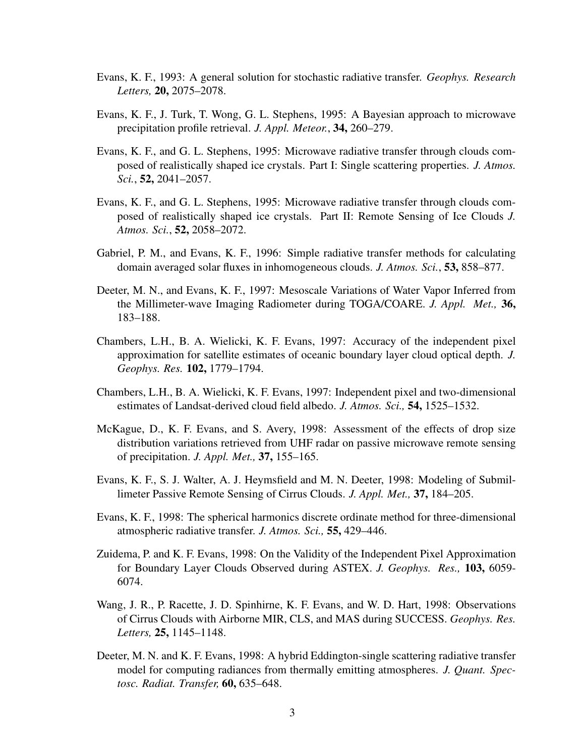- Evans, K. F., 1993: A general solution for stochastic radiative transfer. *Geophys. Research Letters,* 20, 2075–2078.
- Evans, K. F., J. Turk, T. Wong, G. L. Stephens, 1995: A Bayesian approach to microwave precipitation profile retrieval. *J. Appl. Meteor.*, 34, 260–279.
- Evans, K. F., and G. L. Stephens, 1995: Microwave radiative transfer through clouds composed of realistically shaped ice crystals. Part I: Single scattering properties. *J. Atmos. Sci.*, 52, 2041–2057.
- Evans, K. F., and G. L. Stephens, 1995: Microwave radiative transfer through clouds composed of realistically shaped ice crystals. Part II: Remote Sensing of Ice Clouds *J. Atmos. Sci.*, 52, 2058–2072.
- Gabriel, P. M., and Evans, K. F., 1996: Simple radiative transfer methods for calculating domain averaged solar fluxes in inhomogeneous clouds. *J. Atmos. Sci.*, 53, 858–877.
- Deeter, M. N., and Evans, K. F., 1997: Mesoscale Variations of Water Vapor Inferred from the Millimeter-wave Imaging Radiometer during TOGA/COARE. *J. Appl. Met.,* 36, 183–188.
- Chambers, L.H., B. A. Wielicki, K. F. Evans, 1997: Accuracy of the independent pixel approximation for satellite estimates of oceanic boundary layer cloud optical depth. *J. Geophys. Res.* 102, 1779–1794.
- Chambers, L.H., B. A. Wielicki, K. F. Evans, 1997: Independent pixel and two-dimensional estimates of Landsat-derived cloud field albedo. *J. Atmos. Sci.,* 54, 1525–1532.
- McKague, D., K. F. Evans, and S. Avery, 1998: Assessment of the effects of drop size distribution variations retrieved from UHF radar on passive microwave remote sensing of precipitation. *J. Appl. Met.,* 37, 155–165.
- Evans, K. F., S. J. Walter, A. J. Heymsfield and M. N. Deeter, 1998: Modeling of Submillimeter Passive Remote Sensing of Cirrus Clouds. *J. Appl. Met.,* 37, 184–205.
- Evans, K. F., 1998: The spherical harmonics discrete ordinate method for three-dimensional atmospheric radiative transfer. *J. Atmos. Sci.,* 55, 429–446.
- Zuidema, P. and K. F. Evans, 1998: On the Validity of the Independent Pixel Approximation for Boundary Layer Clouds Observed during ASTEX. *J. Geophys. Res.,* 103, 6059- 6074.
- Wang, J. R., P. Racette, J. D. Spinhirne, K. F. Evans, and W. D. Hart, 1998: Observations of Cirrus Clouds with Airborne MIR, CLS, and MAS during SUCCESS. *Geophys. Res. Letters,* 25, 1145–1148.
- Deeter, M. N. and K. F. Evans, 1998: A hybrid Eddington-single scattering radiative transfer model for computing radiances from thermally emitting atmospheres. *J. Quant. Spectosc. Radiat. Transfer,* 60, 635–648.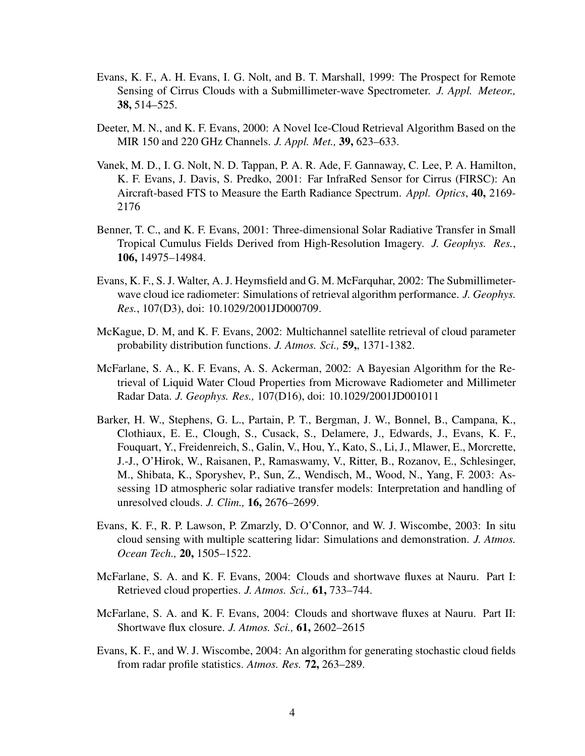- Evans, K. F., A. H. Evans, I. G. Nolt, and B. T. Marshall, 1999: The Prospect for Remote Sensing of Cirrus Clouds with a Submillimeter-wave Spectrometer. *J. Appl. Meteor.,* 38, 514–525.
- Deeter, M. N., and K. F. Evans, 2000: A Novel Ice-Cloud Retrieval Algorithm Based on the MIR 150 and 220 GHz Channels. *J. Appl. Met.,* 39, 623–633.
- Vanek, M. D., I. G. Nolt, N. D. Tappan, P. A. R. Ade, F. Gannaway, C. Lee, P. A. Hamilton, K. F. Evans, J. Davis, S. Predko, 2001: Far InfraRed Sensor for Cirrus (FIRSC): An Aircraft-based FTS to Measure the Earth Radiance Spectrum. *Appl. Optics*, 40, 2169- 2176
- Benner, T. C., and K. F. Evans, 2001: Three-dimensional Solar Radiative Transfer in Small Tropical Cumulus Fields Derived from High-Resolution Imagery. *J. Geophys. Res.*, 106, 14975–14984.
- Evans, K. F., S. J. Walter, A. J. Heymsfield and G. M. McFarquhar, 2002: The Submillimeterwave cloud ice radiometer: Simulations of retrieval algorithm performance. *J. Geophys. Res.*, 107(D3), doi: 10.1029/2001JD000709.
- McKague, D. M, and K. F. Evans, 2002: Multichannel satellite retrieval of cloud parameter probability distribution functions. *J. Atmos. Sci.,* 59,, 1371-1382.
- McFarlane, S. A., K. F. Evans, A. S. Ackerman, 2002: A Bayesian Algorithm for the Retrieval of Liquid Water Cloud Properties from Microwave Radiometer and Millimeter Radar Data. *J. Geophys. Res.,* 107(D16), doi: 10.1029/2001JD001011
- Barker, H. W., Stephens, G. L., Partain, P. T., Bergman, J. W., Bonnel, B., Campana, K., Clothiaux, E. E., Clough, S., Cusack, S., Delamere, J., Edwards, J., Evans, K. F., Fouquart, Y., Freidenreich, S., Galin, V., Hou, Y., Kato, S., Li, J., Mlawer, E., Morcrette, J.-J., O'Hirok, W., Raisanen, P., Ramaswamy, V., Ritter, B., Rozanov, E., Schlesinger, M., Shibata, K., Sporyshev, P., Sun, Z., Wendisch, M., Wood, N., Yang, F. 2003: Assessing 1D atmospheric solar radiative transfer models: Interpretation and handling of unresolved clouds. *J. Clim.,* 16, 2676–2699.
- Evans, K. F., R. P. Lawson, P. Zmarzly, D. O'Connor, and W. J. Wiscombe, 2003: In situ cloud sensing with multiple scattering lidar: Simulations and demonstration. *J. Atmos. Ocean Tech.,* 20, 1505–1522.
- McFarlane, S. A. and K. F. Evans, 2004: Clouds and shortwave fluxes at Nauru. Part I: Retrieved cloud properties. *J. Atmos. Sci.,* 61, 733–744.
- McFarlane, S. A. and K. F. Evans, 2004: Clouds and shortwave fluxes at Nauru. Part II: Shortwave flux closure. *J. Atmos. Sci.,* 61, 2602–2615
- Evans, K. F., and W. J. Wiscombe, 2004: An algorithm for generating stochastic cloud fields from radar profile statistics. *Atmos. Res.* 72, 263–289.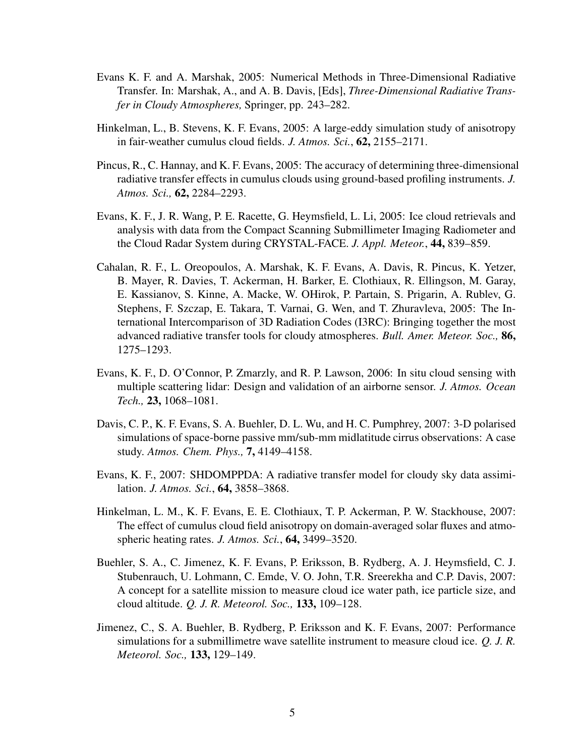- Evans K. F. and A. Marshak, 2005: Numerical Methods in Three-Dimensional Radiative Transfer. In: Marshak, A., and A. B. Davis, [Eds], *Three-Dimensional Radiative Transfer in Cloudy Atmospheres,* Springer, pp. 243–282.
- Hinkelman, L., B. Stevens, K. F. Evans, 2005: A large-eddy simulation study of anisotropy in fair-weather cumulus cloud fields. *J. Atmos. Sci.*, 62, 2155–2171.
- Pincus, R., C. Hannay, and K. F. Evans, 2005: The accuracy of determining three-dimensional radiative transfer effects in cumulus clouds using ground-based profiling instruments. *J. Atmos. Sci.,* 62, 2284–2293.
- Evans, K. F., J. R. Wang, P. E. Racette, G. Heymsfield, L. Li, 2005: Ice cloud retrievals and analysis with data from the Compact Scanning Submillimeter Imaging Radiometer and the Cloud Radar System during CRYSTAL-FACE. *J. Appl. Meteor.*, 44, 839–859.
- Cahalan, R. F., L. Oreopoulos, A. Marshak, K. F. Evans, A. Davis, R. Pincus, K. Yetzer, B. Mayer, R. Davies, T. Ackerman, H. Barker, E. Clothiaux, R. Ellingson, M. Garay, E. Kassianov, S. Kinne, A. Macke, W. OHirok, P. Partain, S. Prigarin, A. Rublev, G. Stephens, F. Szczap, E. Takara, T. Varnai, G. Wen, and T. Zhuravleva, 2005: The International Intercomparison of 3D Radiation Codes (I3RC): Bringing together the most advanced radiative transfer tools for cloudy atmospheres. *Bull. Amer. Meteor. Soc.,* 86, 1275–1293.
- Evans, K. F., D. O'Connor, P. Zmarzly, and R. P. Lawson, 2006: In situ cloud sensing with multiple scattering lidar: Design and validation of an airborne sensor. *J. Atmos. Ocean Tech.,* 23, 1068–1081.
- Davis, C. P., K. F. Evans, S. A. Buehler, D. L. Wu, and H. C. Pumphrey, 2007: 3-D polarised simulations of space-borne passive mm/sub-mm midlatitude cirrus observations: A case study. *Atmos. Chem. Phys.,* 7, 4149–4158.
- Evans, K. F., 2007: SHDOMPPDA: A radiative transfer model for cloudy sky data assimilation. *J. Atmos. Sci.*, 64, 3858–3868.
- Hinkelman, L. M., K. F. Evans, E. E. Clothiaux, T. P. Ackerman, P. W. Stackhouse, 2007: The effect of cumulus cloud field anisotropy on domain-averaged solar fluxes and atmospheric heating rates. *J. Atmos. Sci.*, 64, 3499–3520.
- Buehler, S. A., C. Jimenez, K. F. Evans, P. Eriksson, B. Rydberg, A. J. Heymsfield, C. J. Stubenrauch, U. Lohmann, C. Emde, V. O. John, T.R. Sreerekha and C.P. Davis, 2007: A concept for a satellite mission to measure cloud ice water path, ice particle size, and cloud altitude. *Q. J. R. Meteorol. Soc.,* 133, 109–128.
- Jimenez, C., S. A. Buehler, B. Rydberg, P. Eriksson and K. F. Evans, 2007: Performance simulations for a submillimetre wave satellite instrument to measure cloud ice. *Q. J. R. Meteorol. Soc.,* 133, 129–149.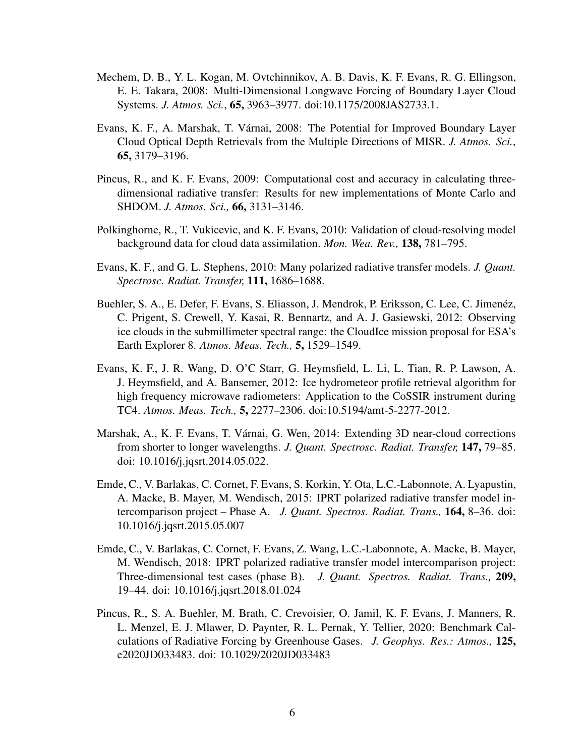- Mechem, D. B., Y. L. Kogan, M. Ovtchinnikov, A. B. Davis, K. F. Evans, R. G. Ellingson, E. E. Takara, 2008: Multi-Dimensional Longwave Forcing of Boundary Layer Cloud Systems. *J. Atmos. Sci.*, 65, 3963–3977. doi:10.1175/2008JAS2733.1.
- Evans, K. F., A. Marshak, T. Várnai, 2008: The Potential for Improved Boundary Layer Cloud Optical Depth Retrievals from the Multiple Directions of MISR. *J. Atmos. Sci.*, 65, 3179–3196.
- Pincus, R., and K. F. Evans, 2009: Computational cost and accuracy in calculating threedimensional radiative transfer: Results for new implementations of Monte Carlo and SHDOM. *J. Atmos. Sci.,* 66, 3131–3146.
- Polkinghorne, R., T. Vukicevic, and K. F. Evans, 2010: Validation of cloud-resolving model background data for cloud data assimilation. *Mon. Wea. Rev.,* 138, 781–795.
- Evans, K. F., and G. L. Stephens, 2010: Many polarized radiative transfer models. *J. Quant. Spectrosc. Radiat. Transfer,* 111, 1686–1688.
- Buehler, S. A., E. Defer, F. Evans, S. Eliasson, J. Mendrok, P. Eriksson, C. Lee, C. Jimenéz, C. Prigent, S. Crewell, Y. Kasai, R. Bennartz, and A. J. Gasiewski, 2012: Observing ice clouds in the submillimeter spectral range: the CloudIce mission proposal for ESA's Earth Explorer 8. *Atmos. Meas. Tech.,* 5, 1529–1549.
- Evans, K. F., J. R. Wang, D. O'C Starr, G. Heymsfield, L. Li, L. Tian, R. P. Lawson, A. J. Heymsfield, and A. Bansemer, 2012: Ice hydrometeor profile retrieval algorithm for high frequency microwave radiometers: Application to the CoSSIR instrument during TC4. *Atmos. Meas. Tech.,* 5, 2277–2306. doi:10.5194/amt-5-2277-2012.
- Marshak, A., K. F. Evans, T. Várnai, G. Wen, 2014: Extending 3D near-cloud corrections from shorter to longer wavelengths. *J. Quant. Spectrosc. Radiat. Transfer,* 147, 79–85. doi: 10.1016/j.jqsrt.2014.05.022.
- Emde, C., V. Barlakas, C. Cornet, F. Evans, S. Korkin, Y. Ota, L.C.-Labonnote, A. Lyapustin, A. Macke, B. Mayer, M. Wendisch, 2015: IPRT polarized radiative transfer model intercomparison project – Phase A. *J. Quant. Spectros. Radiat. Trans.,* 164, 8–36. doi: 10.1016/j.jqsrt.2015.05.007
- Emde, C., V. Barlakas, C. Cornet, F. Evans, Z. Wang, L.C.-Labonnote, A. Macke, B. Mayer, M. Wendisch, 2018: IPRT polarized radiative transfer model intercomparison project: Three-dimensional test cases (phase B). *J. Quant. Spectros. Radiat. Trans.,* 209, 19–44. doi: 10.1016/j.jqsrt.2018.01.024
- Pincus, R., S. A. Buehler, M. Brath, C. Crevoisier, O. Jamil, K. F. Evans, J. Manners, R. L. Menzel, E. J. Mlawer, D. Paynter, R. L. Pernak, Y. Tellier, 2020: Benchmark Calculations of Radiative Forcing by Greenhouse Gases. *J. Geophys. Res.: Atmos.,* 125, e2020JD033483. doi: 10.1029/2020JD033483